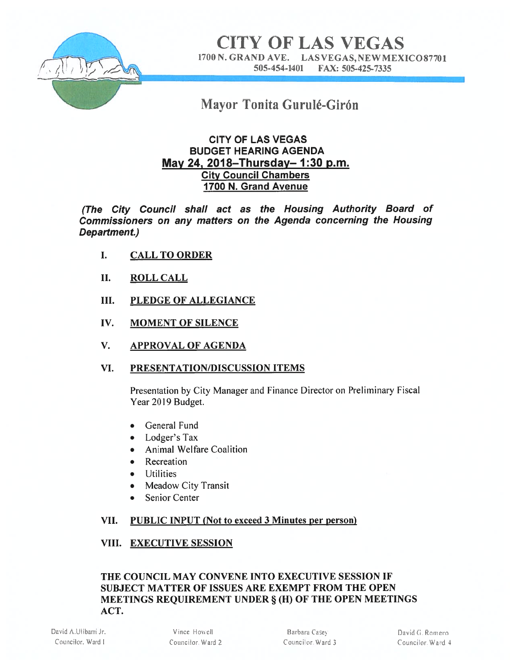

**CITY OF LAS VEGAS** 1700 N. GRAND AVE. LAS VEGAS, NEW MEXICO877O1 505-454-1401 FAX: 505-425-7335

# Mayor Tonita Gurulé-Girón

# CITY OF LAS VEGAS BUDGET HEARING AGENDA May 24, 2018—Thursday— 1:30 p.m. City Council Chambers 1700 N. Grand Avenue

(The City Council shall act as the Housing Authority Board of Commissioners on any matters on the Agenda concerning the Housing Department.)

- I. CALL TO ORDER
- II. ROLL CALL
- III. PLEDGE OF ALLEGIANCE
- IV. MOMENT OF SILENCE
- V. APPROVAL OF AGENDA

### VI. PRESENTATION/DISCUSSION ITEMS

Presentation by City Manager and Finance Director on Preliminary Fiscal Year 2019 Budget.

- General Fund
- Lodger's Tax
- Animal Welfare Coalition
- Recreation
- Utilities
- Meadow City Transit
- Senior Center

### VII. PUBLIC INPUT (Not to exceed 3 Minutes per person)

### VIII. EXECUTIVE SESSION

# THE COUNCIL MAY CONVENE INTO EXECUTIVE SESSION IF SUBJECT MATTER OF ISSUES ARE EXEMPT FROM THE OPEN MEETINGS REQUIREMENT UNDER § (H) OF THE OPEN MEETINGS ACT.